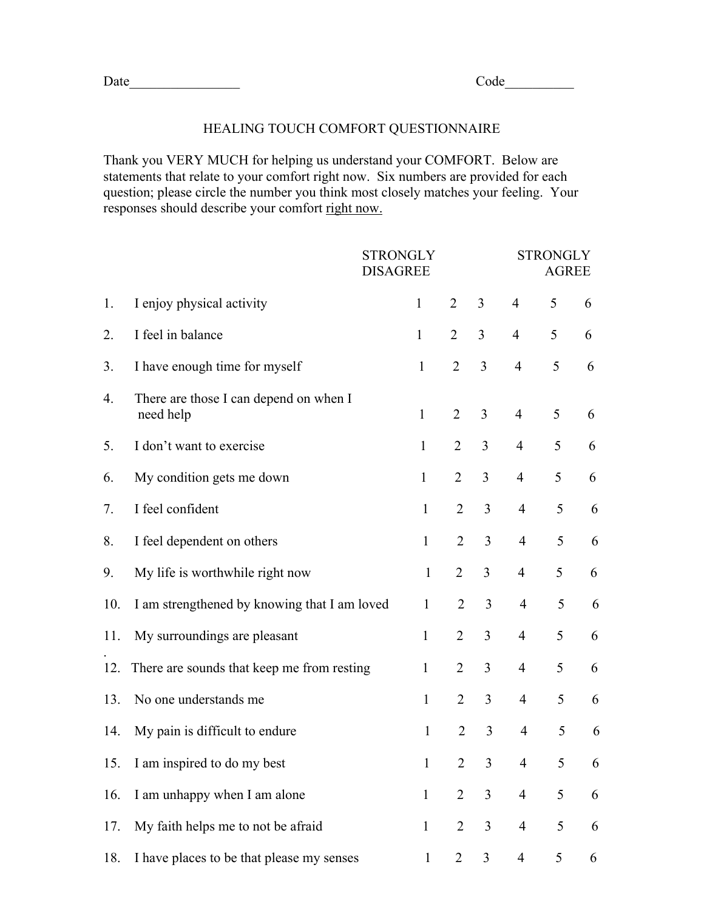## HEALING TOUCH COMFORT QUESTIONNAIRE

Thank you VERY MUCH for helping us understand your COMFORT. Below are statements that relate to your comfort right now. Six numbers are provided for each question; please circle the number you think most closely matches your feeling. Your responses should describe your comfort right now.

|     |                                                     | <b>STRONGLY</b><br><b>DISAGREE</b> |                |                |                | <b>STRONGLY</b><br><b>AGREE</b> |   |  |  |
|-----|-----------------------------------------------------|------------------------------------|----------------|----------------|----------------|---------------------------------|---|--|--|
| 1.  | I enjoy physical activity                           | $\mathbf{1}$                       | 2              | 3              | 4              | 5                               | 6 |  |  |
| 2.  | I feel in balance                                   | $\mathbf{1}$                       | $\overline{2}$ | 3              | $\overline{4}$ | 5                               | 6 |  |  |
| 3.  | I have enough time for myself                       | $\mathbf{1}$                       | $\overline{2}$ | 3              | $\overline{4}$ | 5                               | 6 |  |  |
| 4.  | There are those I can depend on when I<br>need help | $\mathbf{1}$                       | $\overline{2}$ | 3              | $\overline{4}$ | 5                               | 6 |  |  |
| 5.  | I don't want to exercise                            | $\mathbf{1}$                       | $\overline{2}$ | 3              | $\overline{4}$ | 5                               | 6 |  |  |
| 6.  | My condition gets me down                           | $\mathbf{1}$                       | $\overline{2}$ | 3              | $\overline{4}$ | 5                               | 6 |  |  |
| 7.  | I feel confident                                    | $\mathbf{1}$                       | 2              | 3              | $\overline{4}$ | 5                               | 6 |  |  |
| 8.  | I feel dependent on others                          | $\mathbf{1}$                       | $\overline{2}$ | 3              | $\overline{4}$ | 5                               | 6 |  |  |
| 9.  | My life is worthwhile right now                     | $\mathbf{1}$                       | $\overline{2}$ | $\overline{3}$ | $\overline{4}$ | 5                               | 6 |  |  |
| 10. | I am strengthened by knowing that I am loved        | 1                                  | 2              | 3              | $\overline{4}$ | 5                               | 6 |  |  |
| 11. | My surroundings are pleasant                        | $\mathbf{1}$                       | $\overline{2}$ | 3              | $\overline{4}$ | 5                               | 6 |  |  |
| 12. | There are sounds that keep me from resting          | $\mathbf{1}$                       | $\overline{2}$ | 3              | $\overline{4}$ | 5                               | 6 |  |  |
| 13. | No one understands me                               | $\mathbf{1}$                       | 2              | 3              | $\overline{4}$ | 5                               | 6 |  |  |
| 14. | My pain is difficult to endure                      | $\mathbf{1}$                       | $\overline{2}$ | 3              | $\overline{4}$ | 5                               | 6 |  |  |
| 15. | I am inspired to do my best                         | 1                                  | 2              | 3 <sup>1</sup> | 4              | 5                               | 6 |  |  |
| 16. | I am unhappy when I am alone                        | $\mathbf{1}$                       | $\overline{2}$ | 3              | $\overline{4}$ | 5                               | 6 |  |  |
| 17. | My faith helps me to not be afraid                  | $\mathbf{1}$                       | $\overline{2}$ | 3              | $\overline{4}$ | 5                               | 6 |  |  |
| 18. | I have places to be that please my senses           | $\mathbf{1}$                       | $\overline{2}$ | $\overline{3}$ | $\overline{4}$ | 5                               | 6 |  |  |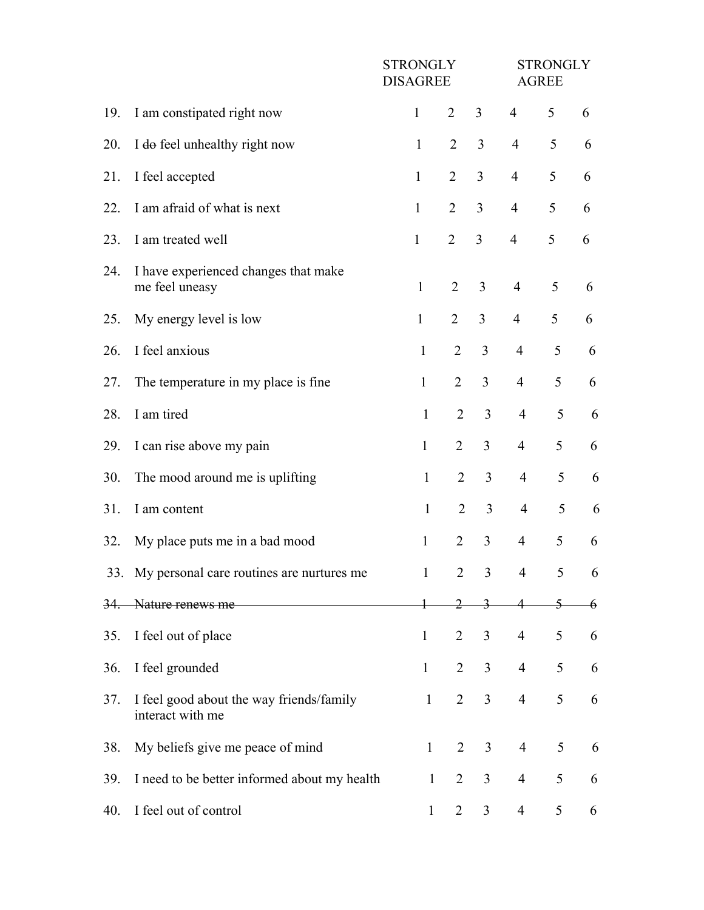|     |                                                              | <b>STRONGLY</b><br><b>DISAGREE</b> |                                |                | <b>STRONGLY</b><br><b>AGREE</b> |                |                |  |
|-----|--------------------------------------------------------------|------------------------------------|--------------------------------|----------------|---------------------------------|----------------|----------------|--|
| 19. | I am constipated right now                                   | $\mathbf{1}$                       | 2                              | 3              | $\overline{4}$                  | 5              | 6              |  |
| 20. | I do feel unhealthy right now                                | $\mathbf{1}$                       | $\overline{2}$                 | 3              | $\overline{4}$                  | 5              | 6              |  |
| 21. | I feel accepted                                              | $\mathbf{1}$                       | $\overline{2}$                 | $\overline{3}$ | $\overline{4}$                  | 5              | 6              |  |
| 22. | I am afraid of what is next                                  | $\mathbf{1}$                       | $\overline{2}$                 | $\overline{3}$ | $\overline{4}$                  | 5              | 6              |  |
| 23. | I am treated well                                            | $\mathbf{1}$                       | $\overline{2}$                 | 3              | $\overline{4}$                  | 5              | 6              |  |
| 24. | I have experienced changes that make<br>me feel uneasy       | $\mathbf{1}$                       | $\overline{2}$                 | $\overline{3}$ | $\overline{4}$                  | 5              | 6              |  |
| 25. | My energy level is low                                       | $\mathbf{1}$                       | $\overline{2}$                 | 3              | $\overline{4}$                  | 5              | 6              |  |
| 26. | I feel anxious                                               | $\mathbf{1}$                       | 2                              | $\overline{3}$ | $\overline{4}$                  | 5              | 6              |  |
| 27. | The temperature in my place is fine                          | $\mathbf{1}$                       | $\overline{2}$                 | $\overline{3}$ | $\overline{4}$                  | 5              | 6              |  |
| 28. | I am tired                                                   | $\mathbf{1}$                       | $\overline{2}$                 | 3              | $\overline{4}$                  | 5              | 6              |  |
| 29. | I can rise above my pain                                     | $\mathbf{1}$                       | 2                              | $\overline{3}$ | 4                               | 5              | 6              |  |
| 30. | The mood around me is uplifting                              | $\mathbf{1}$                       | $\overline{2}$                 | 3              | $\overline{4}$                  | 5              | 6              |  |
| 31. | I am content                                                 | $\mathbf{1}$                       | $\overline{2}$                 | 3              | $\overline{4}$                  | 5              | 6              |  |
| 32. | My place puts me in a bad mood                               | $\mathbf{1}$                       | $\overline{2}$                 | $\overline{3}$ | $\overline{4}$                  | 5              | 6              |  |
|     | 33. My personal care routines are nurtures me                | 1                                  | $\overline{2}$                 | $\mathfrak{Z}$ | $\overline{4}$                  | 5 <sup>5</sup> | 6              |  |
| 34. | Nature renews me                                             |                                    | 2                              | 3              |                                 |                | $\overline{6}$ |  |
| 35. | I feel out of place                                          | $\mathbf{1}$                       | 2                              | $\mathfrak{Z}$ | $\overline{4}$                  | 5              | 6              |  |
| 36. | I feel grounded                                              | $\mathbf{1}$                       | 2                              | 3              | $\overline{4}$                  | 5              | 6              |  |
| 37. | I feel good about the way friends/family<br>interact with me | $\mathbf{1}$                       | 2                              | 3              | $\overline{4}$                  | 5              | 6              |  |
| 38. | My beliefs give me peace of mind                             | $\mathbf{1}$                       | $\overline{2}$                 | 3              | $\overline{4}$                  | 5              | 6              |  |
| 39. | I need to be better informed about my health                 |                                    | $\overline{2}$<br>$\mathbf{1}$ | $\mathfrak{Z}$ | 4                               | 5              | 6              |  |
| 40. | I feel out of control                                        | $\mathbf{1}$                       | 2                              | $\mathfrak{Z}$ | 4                               | 5              | 6              |  |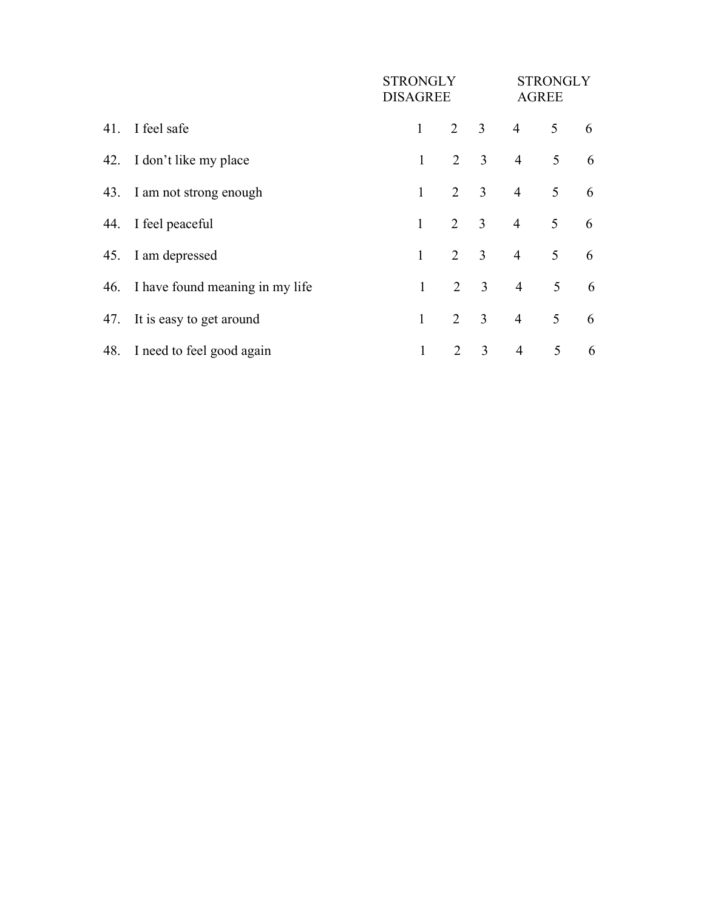|     |                                     | <b>STRONGLY</b><br>DISAGREE |                |                         | <b>STRONGLY</b><br><b>AGREE</b> |                 |   |
|-----|-------------------------------------|-----------------------------|----------------|-------------------------|---------------------------------|-----------------|---|
|     | 41. I feel safe                     | $\mathbf{1}$                | $2 \quad 3$    |                         | $\overline{4}$                  | 5 <sup>5</sup>  | 6 |
|     | 42. I don't like my place           | $\mathbf{1}$                | $\overline{2}$ | $\overline{3}$          | $\overline{4}$                  | 5               | 6 |
|     | 43. I am not strong enough          | $\mathbf{1}$                | $\overline{2}$ | $\overline{\mathbf{3}}$ | $\overline{4}$                  | 5               | 6 |
|     | 44. I feel peaceful                 | $\mathbf{1}$                | $\overline{2}$ | $\overline{\mathbf{3}}$ | $\overline{4}$                  | 5               | 6 |
|     | 45. I am depressed                  | $\mathbf{1}$                | $\overline{2}$ | $\overline{\mathbf{3}}$ | $\overline{4}$                  | $5\overline{)}$ | 6 |
|     | 46. I have found meaning in my life | $\mathbf{1}$                | $\overline{2}$ | $\overline{3}$          | $\overline{4}$                  | 5 <sup>5</sup>  | 6 |
| 47. | It is easy to get around            | $\mathbf{1}$                | $\overline{2}$ | $\mathfrak{Z}$          | $\overline{4}$                  | 5               | 6 |
|     | 48. I need to feel good again       | $\mathbf{1}$                | 2              | 3                       | $\overline{4}$                  | 5               | 6 |